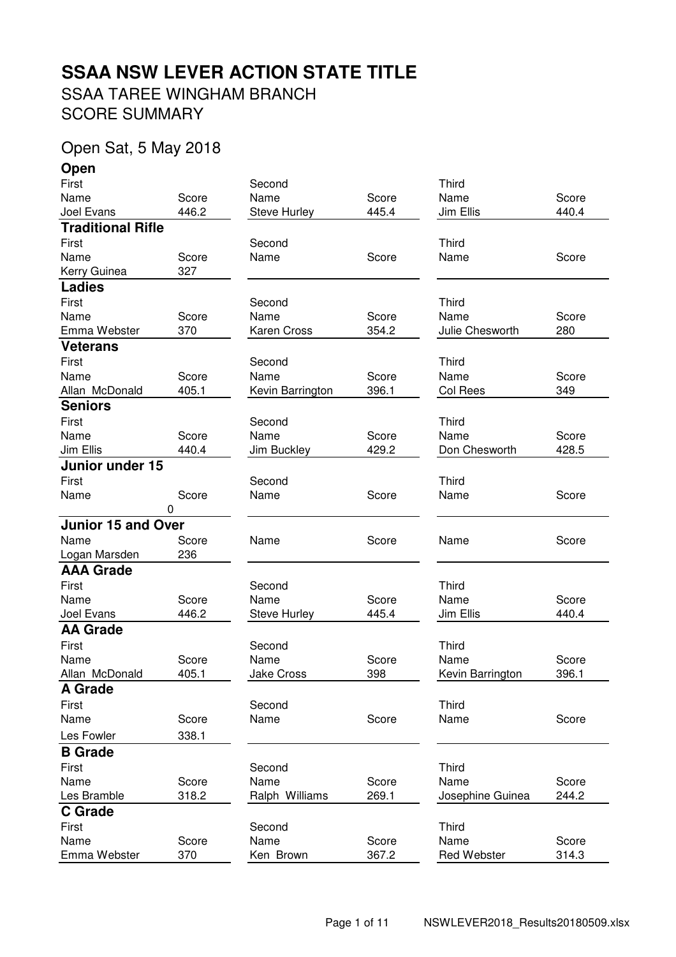# **SSAA NSW LEVER ACTION STATE TITLE**

SSAA TAREE WINGHAM BRANCH SCORE SUMMARY

## Open Sat, 5 May 2018

**Open**

| First                     |       | Second              |       | <b>Third</b>     |       |
|---------------------------|-------|---------------------|-------|------------------|-------|
| Name                      | Score | Name                | Score | Name             | Score |
| Joel Evans                | 446.2 | <b>Steve Hurley</b> | 445.4 | Jim Ellis        | 440.4 |
| <b>Traditional Rifle</b>  |       |                     |       |                  |       |
| First                     |       | Second              |       | Third            |       |
| Name                      | Score | Name                | Score | Name             | Score |
| Kerry Guinea              | 327   |                     |       |                  |       |
| <b>Ladies</b>             |       |                     |       |                  |       |
| First                     |       | Second              |       | <b>Third</b>     |       |
| Name                      | Score | Name                | Score | Name             | Score |
| Emma Webster              | 370   | Karen Cross         | 354.2 | Julie Chesworth  | 280   |
| <b>Veterans</b>           |       |                     |       |                  |       |
| First                     |       | Second              |       | Third            |       |
| Name                      | Score | Name                | Score | Name             | Score |
| Allan McDonald            | 405.1 | Kevin Barrington    | 396.1 | Col Rees         | 349   |
| <b>Seniors</b>            |       |                     |       |                  |       |
| First                     |       | Second              |       | Third            |       |
| Name                      | Score | Name                | Score | Name             | Score |
| Jim Ellis                 | 440.4 | Jim Buckley         | 429.2 | Don Chesworth    | 428.5 |
| Junior under 15           |       |                     |       |                  |       |
| First                     |       | Second              |       | <b>Third</b>     |       |
| Name                      | Score | Name                | Score | Name             | Score |
|                           | 0     |                     |       |                  |       |
| <b>Junior 15 and Over</b> |       |                     |       |                  |       |
| Name                      | Score | Name                | Score | Name             | Score |
| Logan Marsden             | 236   |                     |       |                  |       |
| <b>AAA Grade</b>          |       |                     |       |                  |       |
| First                     |       | Second              |       | Third            |       |
| Name                      | Score | Name                | Score | Name             | Score |
| Joel Evans                | 446.2 | <b>Steve Hurley</b> | 445.4 | Jim Ellis        | 440.4 |
| <b>AA Grade</b>           |       |                     |       |                  |       |
| First                     |       | Second              |       | Third            |       |
| Name                      | Score | Name                | Score | Name             | Score |
| Allan McDonald            | 405.1 | Jake Cross          | 398   | Kevin Barrington | 396.1 |
| <b>A Grade</b>            |       |                     |       |                  |       |
| First                     |       | Second              |       | <b>Third</b>     |       |
| Name                      | Score | Name                | Score | Name             | Score |
| Les Fowler                | 338.1 |                     |       |                  |       |
| <b>B</b> Grade            |       |                     |       |                  |       |
| First                     |       | Second              |       | Third            |       |
| Name                      | Score | Name                | Score | Name             | Score |
|                           |       |                     |       |                  |       |
|                           | 318.2 | Ralph Williams      | 269.1 |                  | 244.2 |
| Les Bramble               |       |                     |       | Josephine Guinea |       |
| <b>C</b> Grade            |       |                     |       |                  |       |
| First<br>Name             | Score | Second<br>Name      | Score | Third<br>Name    | Score |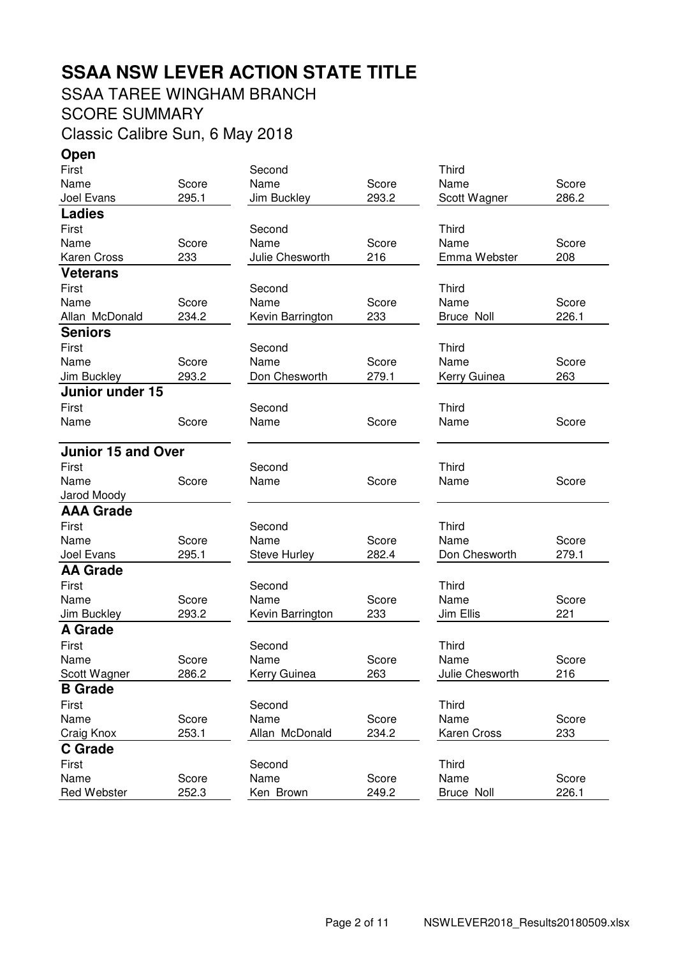# **SSAA NSW LEVER ACTION STATE TITLE**

#### SSAA TAREE WINGHAM BRANCH

SCORE SUMMARY

Classic Calibre Sun, 6 May 2018

**Open** First Second Third Name Score Name Score Name Score Joel Evans 295.1 Jim Buckley 293.2 Scott Wagner 286.2 **Ladies** First **Second** Second Third Name Score Name Score Name Score Karen Cross 233 Julie Chesworth 216 Emma Webster 208 **Veterans** First Second Third Name Score Name Score Name Score Allan McDonald 234.2 Kevin Barrington 233 Bruce Noll 226.1 **Seniors** First **Second** Second Third Name Score Name Score Name Score Jim Buckley 293.2 Don Chesworth 279.1 Kerry Guinea 263 **Junior under 15** First **Second** Second Third Name Score Name Score Name Score **Junior 15 and Over** First Second Third Name Score Name Score Name Score Jarod Moody **AAA Grade** First **Second** Second Third Name Score Name Score Name Score Joel Evans 295.1 Steve Hurley 282.4 Don Chesworth 279.1 **AA Grade** First Second Third Name Score Name Score Name Score Jim Buckley 293.2 Kevin Barrington 233 Jim Ellis 221 **A Grade** First **Second** Second Third Name Score Name Score Name Score Scott Wagner 286.2 Kerry Guinea 263 Julie Chesworth 216 **B Grade** First Second Third Name Score Name Score Name Score Craig Knox 253.1 Allan McDonald 234.2 Karen Cross 233 **C Grade** First **Second** Second Third Name Score Name Score Name Score Red Webster  $252.3$  Ken Brown  $249.2$  Bruce Noll  $226.1$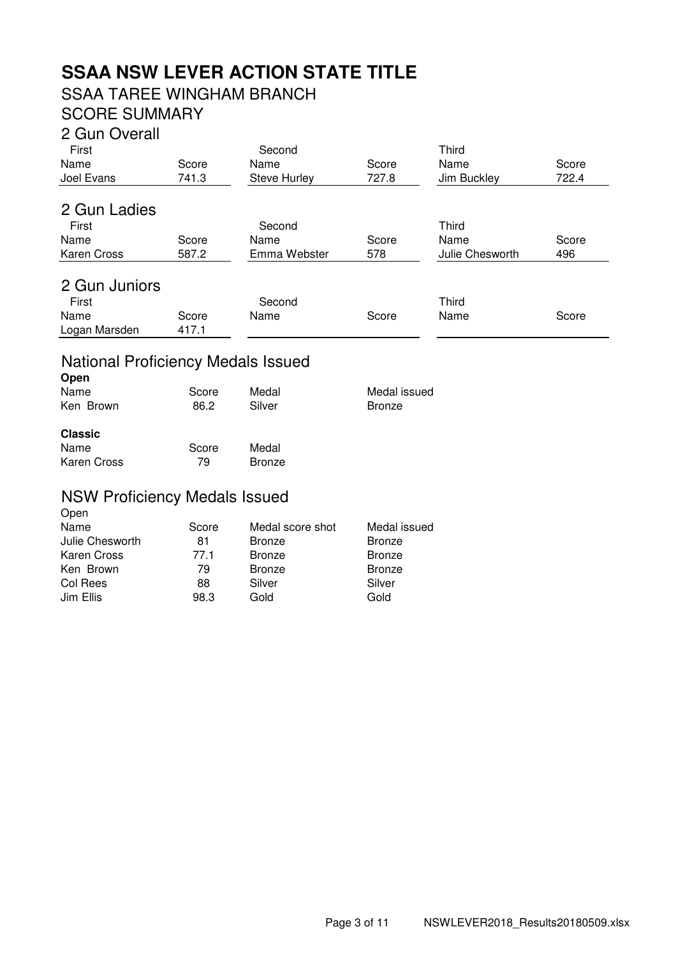# **SSAA NSW LEVER ACTION STATE TITLE**

# SSAA TAREE WINGHAM BRANCH

# SCORE SUMMARY

#### 2 Gun Overall

| First<br>Name<br>Joel Evans | Score<br>741.3 | Second<br>Name<br>Steve Hurley | Score<br>727.8 | Third<br>Name<br>Jim Buckley | Score<br>722.4 |
|-----------------------------|----------------|--------------------------------|----------------|------------------------------|----------------|
| 2 Gun Ladies                |                |                                |                |                              |                |
| First                       |                | Second                         |                | Third                        |                |
| Name                        | Score          | Name                           | Score          | Name                         | Score          |
| <b>Karen Cross</b>          | 587.2          | Emma Webster                   | 578            | Julie Chesworth              | 496            |
| 2 Gun Juniors<br>First      |                | Second                         |                | <b>Third</b>                 |                |
| Name                        | Score          | Name                           | Score          | Name                         | Score          |
| Logan Marsden               | 417.1          |                                |                |                              |                |

## National Proficiency Medals Issued

| Open           |       |               |               |
|----------------|-------|---------------|---------------|
| Name           | Score | Medal         | Medal issued  |
| Ken Brown      | 86.2  | Silver        | <b>Bronze</b> |
| <b>Classic</b> |       |               |               |
| Name           | Score | Medal         |               |
| Karen Cross    | 79    | <b>Bronze</b> |               |
|                |       |               |               |

#### NSW Proficiency Medals Issued Open

| $     -$        |       |                  |               |
|-----------------|-------|------------------|---------------|
| Name            | Score | Medal score shot | Medal issued  |
| Julie Chesworth | 81    | <b>Bronze</b>    | <b>Bronze</b> |
| Karen Cross     | 77.1  | <b>Bronze</b>    | <b>Bronze</b> |
| Ken Brown       | 79    | <b>Bronze</b>    | <b>Bronze</b> |
| Col Rees        | 88    | Silver           | Silver        |
| Jim Ellis       | 98.3  | Gold             | Gold          |
|                 |       |                  |               |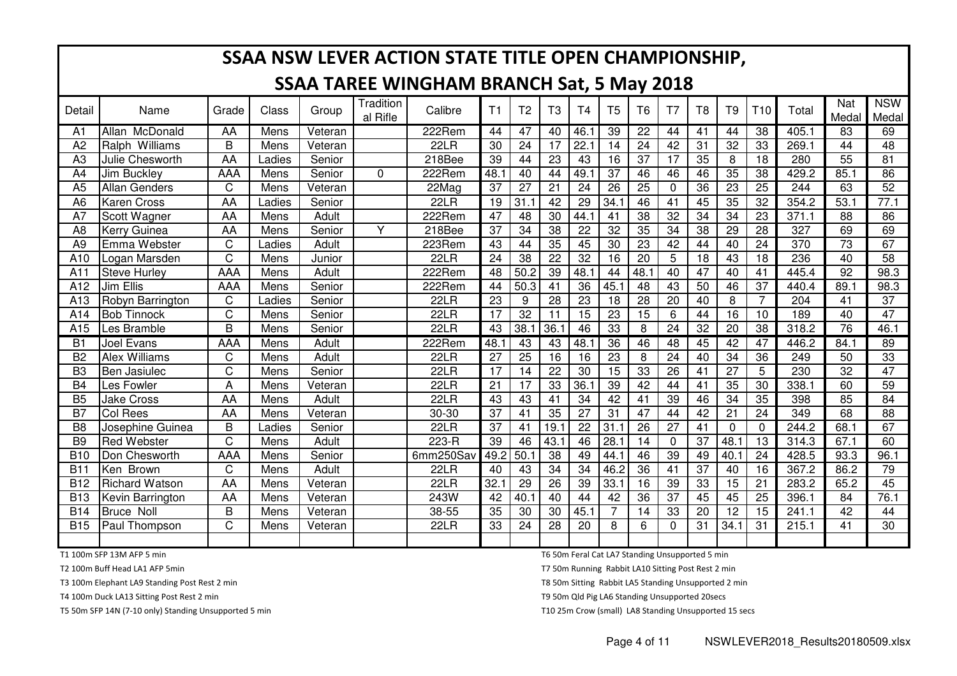|                |                       |                       |        |         |                              | SSAA NSW LEVER ACTION STATE TITLE OPEN CHAMPIONSHIP, |                 |                 |                 |                 |                 |                 |                 |                 |                 |                 |       |                 |                     |
|----------------|-----------------------|-----------------------|--------|---------|------------------------------|------------------------------------------------------|-----------------|-----------------|-----------------|-----------------|-----------------|-----------------|-----------------|-----------------|-----------------|-----------------|-------|-----------------|---------------------|
|                |                       |                       |        |         |                              | <b>SSAA TAREE WINGHAM BRANCH Sat, 5 May 2018</b>     |                 |                 |                 |                 |                 |                 |                 |                 |                 |                 |       |                 |                     |
| Detail         | Name                  | Grade                 | Class  | Group   | <b>Tradition</b><br>al Rifle | Calibre                                              | T1              | T <sub>2</sub>  | T <sub>3</sub>  | T <sub>4</sub>  | T <sub>5</sub>  | T <sub>6</sub>  | T <sub>7</sub>  | T <sub>8</sub>  | T <sub>9</sub>  | T <sub>10</sub> | Total | Nat<br>Medal    | <b>NSW</b><br>Medal |
| A1             | Allan McDonald        | AA                    | Mens   | Veteran |                              | 222Rem                                               | 44              | 47              | 40              | 46.1            | 39              | $\overline{22}$ | 44              | 41              | 44              | $\overline{38}$ | 405.1 | 83              | 69                  |
| A <sub>2</sub> | Ralph Williams        | B                     | Mens   | Veteran |                              | 22LR                                                 | 30              | 24              | 17              | 22.1            | 14              | 24              | 42              | 31              | 32              | 33              | 269.1 | 44              | 48                  |
| A <sub>3</sub> | Julie Chesworth       | AA                    | Ladies | Senior  |                              | 218Bee                                               | 39              | 44              | 23              | 43              | 16              | 37              | 17              | 35              | 8               | 18              | 280   | 55              | 81                  |
| A4             | Jim Buckley           | AAA                   | Mens   | Senior  | 0                            | 222Rem                                               | 48.1            | 40              | 44              | 49.1            | 37              | 46              | 46              | 46              | 35              | 38              | 429.2 | 85.1            | 86                  |
| A <sub>5</sub> | <b>Allan Genders</b>  | C                     | Mens   | Veteran |                              | 22Mag                                                | 37              | $\overline{27}$ | $\overline{21}$ | $\overline{24}$ | 26              | $\overline{25}$ | $\overline{0}$  | 36              | $\overline{23}$ | 25              | 244   | 63              | $\overline{52}$     |
| A <sub>6</sub> | <b>Karen Cross</b>    | AA                    | Ladies | Senior  |                              | 22LR                                                 | 19              | 31.1            | 42              | 29              | 34.1            | 46              | 41              | 45              | 35              | 32              | 354.2 | 53.1            | 77.1                |
| A7             | Scott Wagner          | AA                    | Mens   | Adult   |                              | 222Rem                                               | 47              | 48              | 30              | 44.1            | 41              | 38              | 32              | 34              | 34              | 23              | 371.1 | 88              | 86                  |
| A <sub>8</sub> | <b>Kerry Guinea</b>   | AA                    | Mens   | Senior  | Y                            | 218Bee                                               | 37              | 34              | 38              | 22              | $\overline{32}$ | 35              | 34              | 38              | 29              | $\overline{28}$ | 327   | 69              | 69                  |
| A <sub>9</sub> | Emma Webster          | C                     | Ladies | Adult   |                              | 223Rem                                               | 43              | 44              | 35              | 45              | 30              | $\overline{23}$ | 42              | 44              | 40              | 24              | 370   | 73              | 67                  |
| A10            | Logan Marsden         | $\overline{\text{C}}$ | Mens   | Junior  |                              | 22LR                                                 | $\overline{24}$ | $\overline{38}$ | $\overline{22}$ | 32              | $\overline{16}$ | $\overline{20}$ | 5               | $\overline{18}$ | 43              | 18              | 236   | 40              | $\overline{58}$     |
| A11            | Steve Hurley          | <b>AAA</b>            | Mens   | Adult   |                              | 222Rem                                               | $\overline{48}$ | 50.2            | 39              | 48.1            | 44              | 48.1            | $\overline{40}$ | $\overline{47}$ | 40              | 41              | 445.4 | $\overline{92}$ | 98.3                |
| A12            | Jim Ellis             | <b>AAA</b>            | Mens   | Senior  |                              | 222Rem                                               | $\overline{44}$ | 50.3            | $\overline{41}$ | 36              | 45.1            | $\overline{48}$ | $\overline{43}$ | 50              | 46              | $\overline{37}$ | 440.4 | 89.1            | 98.3                |
| A13            | Robyn Barrington      | $\mathsf C$           | Ladies | Senior  |                              | 22LR                                                 | 23              | 9               | $\overline{28}$ | 23              | 18              | $\overline{28}$ | 20              | 40              | 8               | $\overline{7}$  | 204   | 41              | 37                  |
| A14            | <b>Bob Tinnock</b>    | $\overline{\text{C}}$ | Mens   | Senior  |                              | 22LR                                                 | $\overline{17}$ | $\overline{32}$ | 11              | 15              | $\overline{23}$ | $\overline{15}$ | 6               | 44              | $\overline{16}$ | 10              | 189   | 40              | $\overline{47}$     |
| A15            | Les Bramble           | B                     | Mens   | Senior  |                              | 22LR                                                 | 43              | 38.1            | 36.1            | 46              | 33              | 8               | 24              | 32              | 20              | 38              | 318.2 | 76              | 46.1                |
| <b>B1</b>      | <b>Joel Evans</b>     | AAA                   | Mens   | Adult   |                              | 222Rem                                               | 48.1            | 43              | $\overline{43}$ | 48.             | $\overline{36}$ | 46              | 48              | 45              | 42              | 47              | 446.2 | 84.1            | 89                  |
| B <sub>2</sub> | <b>Alex Williams</b>  | C                     | Mens   | Adult   |                              | 22LR                                                 | 27              | 25              | 16              | 16              | 23              | 8               | $\overline{24}$ | 40              | 34              | 36              | 249   | 50              | 33                  |
| B <sub>3</sub> | <b>Ben Jasiulec</b>   | $\overline{\text{C}}$ | Mens   | Senior  |                              | 22LR                                                 | 17              | 14              | $\overline{22}$ | 30              | 15              | 33              | $\overline{26}$ | $\overline{41}$ | $\overline{27}$ | $\overline{5}$  | 230   | $\overline{32}$ | 47                  |
| <b>B4</b>      | Les Fowler            | A                     | Mens   | Veteran |                              | 22LR                                                 | $\overline{21}$ | $\overline{17}$ | 33              | 36.1            | 39              | 42              | 44              | $\overline{41}$ | $\overline{35}$ | $\overline{30}$ | 338.1 | 60              | $\overline{59}$     |
| <b>B5</b>      | <b>Jake Cross</b>     | AA                    | Mens   | Adult   |                              | 22LR                                                 | 43              | $\overline{43}$ | $\overline{41}$ | 34              | 42              | $\overline{41}$ | 39              | 46              | $\overline{34}$ | 35              | 398   | 85              | 84                  |
| B7             | Col Rees              | AA                    | Mens   | Veteran |                              | $30 - 30$                                            | $\overline{37}$ | 41              | $\overline{35}$ | 27              | 31              | $\overline{47}$ | 44              | 42              | 21              | 24              | 349   | 68              | 88                  |
| B <sub>8</sub> | Josephine Guinea      | B                     | Ladies | Senior  |                              | 22LR                                                 | $\overline{37}$ | 41              | 19.1            | $\overline{22}$ | 31.1            | $\overline{26}$ | $\overline{27}$ | $\overline{41}$ | $\Omega$        | $\mathbf 0$     | 244.2 | 68.1            | 67                  |
| B <sub>9</sub> | Red Webster           | $\overline{C}$        | Mens   | Adult   |                              | 223-R                                                | 39              | 46              | 43.1            | 46              | 28.1            | 14              | $\mathbf 0$     | $\overline{37}$ | 48.1            | 13              | 314.3 | 67.1            | 60                  |
| <b>B10</b>     | Don Chesworth         | <b>AAA</b>            | Mens   | Senior  |                              | 6mm250Sav                                            | 49.2            | 50.1            | $\overline{38}$ | 49              | 44.1            | 46              | 39              | 49              | 40.1            | 24              | 428.5 | 93.3            | 96.1                |
| <b>B11</b>     | Ken Brown             | C                     | Mens   | Adult   |                              | 22LR                                                 | 40              | 43              | 34              | 34              | 46.2            | 36              | 41              | 37              | 40              | 16              | 367.2 | 86.2            | 79                  |
| <b>B12</b>     | <b>Richard Watson</b> | AA                    | Mens   | Veteran |                              | 22LR                                                 | 32.1            | 29              | 26              | 39              | 33.1            | 16              | 39              | 33              | 15              | 21              | 283.2 | 65.2            | 45                  |
| <b>B13</b>     | Kevin Barrington      | AA                    | Mens   | Veteran |                              | 243W                                                 | 42              | 40.1            | 40              | 44              | 42              | 36              | 37              | 45              | 45              | 25              | 396.1 | 84              | 76.1                |
| <b>B14</b>     | <b>Bruce Noll</b>     | B                     | Mens   | Veteran |                              | 38-55                                                | 35              | 30              | 30              | 45.1            | $\overline{7}$  | 14              | 33              | 20              | 12              | 15              | 241.1 | 42              | 44                  |
| <b>B15</b>     | Paul Thompson         | C                     | Mens   | Veteran |                              | 22LR                                                 | 33              | 24              | 28              | 20              | 8               | 6               | $\Omega$        | 31              | 34.1            | 31              | 215.1 | 41              | 30                  |
|                |                       |                       |        |         |                              |                                                      |                 |                 |                 |                 |                 |                 |                 |                 |                 |                 |       |                 |                     |

T1 100m SFP 13M AFP 5 min

T2 100m Buff Head LA1 AFP 5min

T3 100m Elephant LA9 Standing Post Rest 2 min

T4 100m Duck LA13 Sitting Post Rest 2 min

T5 50m SFP 14N (7-10 only) Standing Unsupported 5 min

T6 50m Feral Cat LA7 Standing Unsupported 5 min

T7 50m Running Rabbit LA10 Sitting Post Rest 2 min

T8 50m Sitting Rabbit LA5 Standing Unsupported 2 min

T9 50m Qld Pig LA6 Standing Unsupported 20secs

T10 25m Crow (small) LA8 Standing Unsupported 15 secs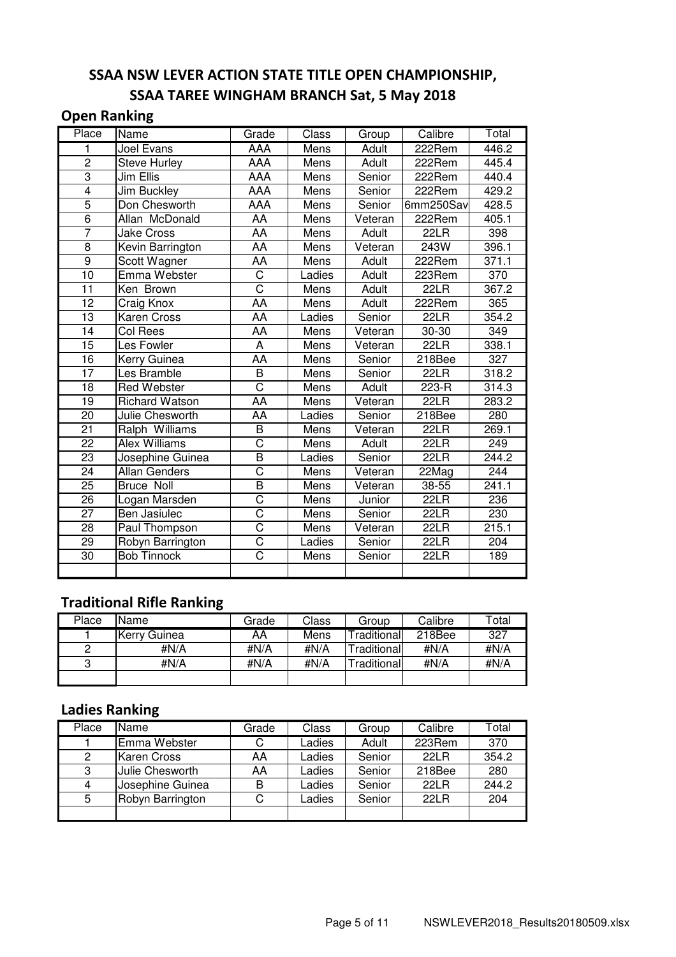## SSAA NSW LEVER ACTION STATE TITLE OPEN CHAMPIONSHIP, SSAA TAREE WINGHAM BRANCH Sat, 5 May 2018

#### Open Ranking

| Place           | Name                  | Grade                   | Class       | Group        | Calibre   | Total            |
|-----------------|-----------------------|-------------------------|-------------|--------------|-----------|------------------|
|                 | <b>Joel Evans</b>     | <b>AAA</b>              | <b>Mens</b> | <b>Adult</b> | 222Rem    | 446.2            |
| $\mathbf 2$     | <b>Steve Hurley</b>   | AAA                     | Mens        | Adult        | 222Rem    | 445.4            |
| $\overline{3}$  | Jim Ellis             | AAA                     | Mens        | Senior       | 222Rem    | 440.4            |
| $\overline{4}$  | <b>Jim Buckley</b>    | AAA                     | Mens        | Senior       | $222$ Rem | 429.2            |
| $\overline{5}$  | Don Chesworth         | AAA                     | Mens        | Senior       | 6mm250Sav | 428.5            |
| $\overline{6}$  | Allan McDonald        | AA                      | Mens        | Veteran      | 222Rem    | 405.1            |
| $\overline{7}$  | <b>Jake Cross</b>     | <b>AA</b>               | Mens        | Adult        | 22LR      | 398              |
| 8               | Kevin Barrington      | AA                      | Mens        | Veteran      | 243W      | 396.1            |
| $\overline{9}$  | Scott Wagner          | AA                      | Mens        | Adult        | 222Rem    | 371.1            |
| 10              | Emma Webster          | $\overline{\text{C}}$   | Ladies      | <b>Adult</b> | 223Rem    | 370              |
| 11              | Ken Brown             | $\overline{\text{C}}$   | Mens        | Adult        | 22LR      | 367.2            |
| 12              | Craig Knox            | AA                      | Mens        | Adult        | 222Rem    | 365              |
| $\overline{13}$ | Karen Cross           | AA                      | Ladies      | Senior       | 22LR      | 354.2            |
| 14              | Col Rees              | AA                      | Mens        | Veteran      | 30-30     | 349              |
| 15              | Les Fowler            | A                       | Mens        | Veteran      | 22LR      | 338.1            |
| $\overline{16}$ | Kerry Guinea          | AA                      | Mens        | Senior       | 218Bee    | 327              |
| 17              | Les Bramble           | B                       | Mens        | Senior       | 22LR      | 318.2            |
| 18              | <b>Red Webster</b>    | $\overline{\text{C}}$   | Mens        | Adult        | 223-R     | 314.3            |
| 19              | <b>Richard Watson</b> | AA                      | Mens        | Veteran      | 22LR      | 283.2            |
| 20              | Julie Chesworth       | AA                      | Ladies      | Senior       | 218Bee    | 280              |
| $\overline{21}$ | Ralph Williams        | B                       | Mens        | Veteran      | 22LR      | 269.1            |
| $\overline{22}$ | <b>Alex Williams</b>  | $\overline{\text{c}}$   | Mens        | Adult        | 22LR      | 249              |
| $\overline{23}$ | Josephine Guinea      | $\overline{\mathsf{B}}$ | Ladies      | Senior       | 22LR      | 244.2            |
| $\overline{24}$ | <b>Allan Genders</b>  | $\overline{\text{c}}$   | Mens        | Veteran      | 22Mag     | $\overline{2}44$ |
| $\overline{25}$ | <b>Bruce Noll</b>     | $\overline{\mathsf{B}}$ | Mens        | Veteran      | $38 - 55$ | 241.1            |
| $\overline{26}$ | Logan Marsden         | C                       | Mens        | Junior       | 22LR      | 236              |
| $\overline{27}$ | <b>Ben Jasiulec</b>   | C                       | Mens        | Senior       | 22LR      | 230              |
| $\overline{28}$ | Paul Thompson         | C                       | Mens        | Veteran      | 22LR      | 215.1            |
| 29              | Robyn Barrington      | $\overline{\text{C}}$   | Ladies      | Senior       | 22LR      | $\overline{204}$ |
| 30              | <b>Bob Tinnock</b>    | $\overline{\text{c}}$   | Mens        | Senior       | 22LR      | 189              |
|                 |                       |                         |             |              |           |                  |

### Traditional Rifle Ranking

| Place | Name         | Grade | Class | Group              | Calibre | Total |
|-------|--------------|-------|-------|--------------------|---------|-------|
|       | Kerry Guinea | AA    | Mens  | Traditional        | 218Bee  | 327   |
| 2     | #N/A         | #N/A  | #N/A  | Traditionall       | #N/A    | #N/A  |
| 3     | #N/A         | #N/A  | #N/A  | <b>Traditional</b> | #N/A    | #N/A  |
|       |              |       |       |                    |         |       |

### Ladies Ranking

| Place | Name               | Grade | Class  | Group  | Calibre | Total |
|-------|--------------------|-------|--------|--------|---------|-------|
|       | Emma Webster       | С     | Ladies | Adult  | 223Rem  | 370   |
| 2     | <b>Karen Cross</b> | AA    | Ladies | Senior | 22L R   | 354.2 |
| 3     | Julie Chesworth    | AA    | Ladies | Senior | 218Bee  | 280   |
| 4     | Josephine Guinea   | B     | Ladies | Senior | 22L R   | 244.2 |
| 5     | Robyn Barrington   | С     | Ladies | Senior | 22L R   | 204   |
|       |                    |       |        |        |         |       |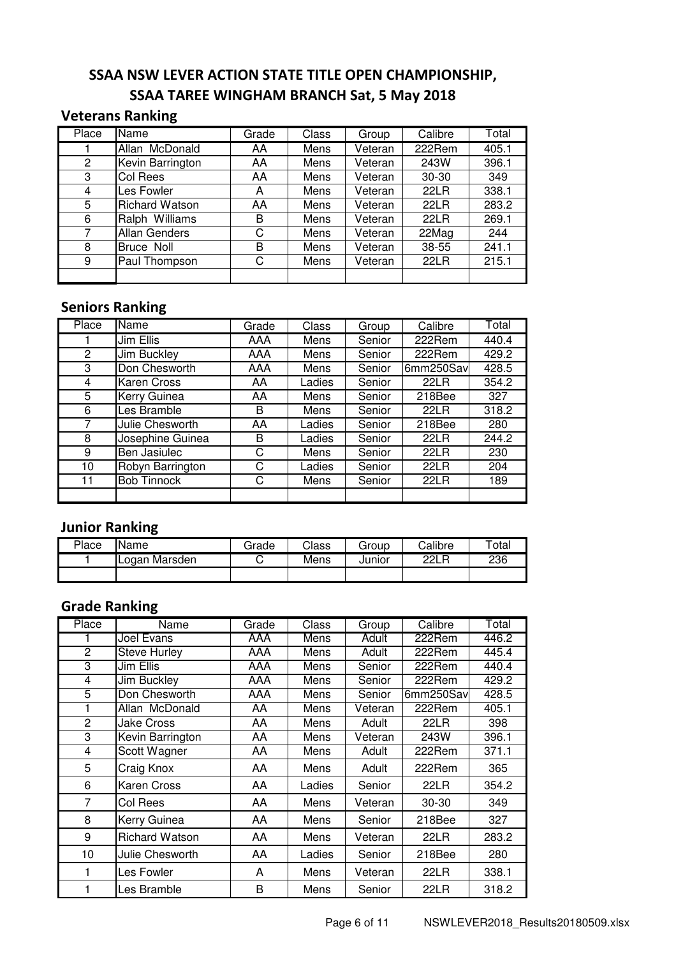#### SSAA NSW LEVER ACTION STATE TITLE OPEN CHAMPIONSHIP, SSAA TAREE WINGHAM BRANCH Sat, 5 May 2018

#### Veterans Ranking

| Place          | $\overline{\mathsf{Name}}$ | Grade | Class | Group   | Calibre     | Total |
|----------------|----------------------------|-------|-------|---------|-------------|-------|
|                | Allan McDonald             | AA    | Mens  | Veteran | 222Rem      | 405.1 |
| $\overline{2}$ | Kevin Barrington           | AA    | Mens  | Veteran | 243W        | 396.1 |
| 3              | Col Rees                   | AA    | Mens  | Veteran | 30-30       | 349   |
| 4              | Les Fowler                 | A     | Mens  | Veteran | 22LR        | 338.1 |
| 5              | <b>Richard Watson</b>      | AA    | Mens  | Veteran | <b>22LR</b> | 283.2 |
| 6              | Ralph Williams             | B     | Mens  | Veteran | 22LR        | 269.1 |
| 7              | <b>Allan Genders</b>       | C     | Mens  | Veteran | 22Mag       | 244   |
| 8              | Bruce Noll                 | B     | Mens  | Veteran | 38-55       | 241.1 |
| 9              | Paul Thompson              | С     | Mens  | Veteran | 22LR        | 215.1 |
|                |                            |       |       |         |             |       |

## Seniors Ranking

| Place | <b>Name</b>        | Grade | Class  | Group  | Calibre     | Total |
|-------|--------------------|-------|--------|--------|-------------|-------|
|       | Jim Ellis          | AAA   | Mens   | Senior | 222Rem      | 440.4 |
| 2     | Jim Buckley        | AAA   | Mens   | Senior | 222Rem      | 429.2 |
| 3     | Don Chesworth      | AAA   | Mens   | Senior | 6mm250Savl  | 428.5 |
| 4     | <b>Karen Cross</b> | AA    | Ladies | Senior | 22LR        | 354.2 |
| 5     | Kerry Guinea       | AA    | Mens   | Senior | 218Bee      | 327   |
| 6     | Les Bramble        | B     | Mens   | Senior | <b>22LR</b> | 318.2 |
| 7     | Julie Chesworth    | AA    | Ladies | Senior | 218Bee      | 280   |
| 8     | Josephine Guinea   | В     | Ladies | Senior | 22LR        | 244.2 |
| 9     | Ben Jasiulec       | С     | Mens   | Senior | 22LR        | 230   |
| 10    | Robyn Barrington   | C     | Ladies | Senior | <b>22LR</b> | 204   |
| 11    | <b>Bob Tinnock</b> | C     | Mens   | Senior | 22LR        | 189   |
|       |                    |       |        |        |             |       |

#### Junior Ranking

| Place | <b>Name</b>   | Grade | Class | Group  | Calibre | $\tau$ otal |
|-------|---------------|-------|-------|--------|---------|-------------|
|       | Logan Marsden | ◡     | Mens  | Junior | 22I R   | 236         |
|       |               |       |       |        |         |             |

## Grade Ranking

| Place          | Name                    | Grade      | Class  | Group   | Calibre   | Total |
|----------------|-------------------------|------------|--------|---------|-----------|-------|
|                | Joel Evans              | AAA        | Mens   | Adult   | 222Rem    | 446.2 |
| 2              | <b>Steve Hurley</b>     | <b>AAA</b> | Mens   | Adult   | 222Rem    | 445.4 |
| 3              | Jim Ellis               | AAA        | Mens   | Senior  | 222Rem    | 440.4 |
| 4              | <b>Jim Buckley</b>      | AAA        | Mens   | Senior  | 222Rem    | 429.2 |
| 5              | Don Chesworth           | <b>AAA</b> | Mens   | Senior  | 6mm250Sav | 428.5 |
|                | Allan McDonald          | AA         | Mens   | Veteran | 222Rem    | 405.1 |
| $\overline{2}$ | <b>Jake Cross</b>       | <b>AA</b>  | Mens   | Adult   | 22LR      | 398   |
| 3              | <b>Kevin Barrington</b> | AA         | Mens   | Veteran | 243W      | 396.1 |
| 4              | Scott Wagner            | AA         | Mens   | Adult   | 222Rem    | 371.1 |
| 5              | Craig Knox              | AA         | Mens   | Adult   | 222Rem    | 365   |
| 6              | <b>Karen Cross</b>      | AA         | Ladies | Senior  | 22LR      | 354.2 |
| 7              | Col Rees                | AA         | Mens   | Veteran | $30 - 30$ | 349   |
| 8              | Kerry Guinea            | AA         | Mens   | Senior  | 218Bee    | 327   |
| 9              | <b>Richard Watson</b>   | AA         | Mens   | Veteran | 22LR      | 283.2 |
| 10             | Julie Chesworth         | AA         | Ladies | Senior  | 218Bee    | 280   |
| 1              | Les Fowler              | A          | Mens   | Veteran | 22LR      | 338.1 |
|                | Les Bramble             | B          | Mens   | Senior  | 22LR      | 318.2 |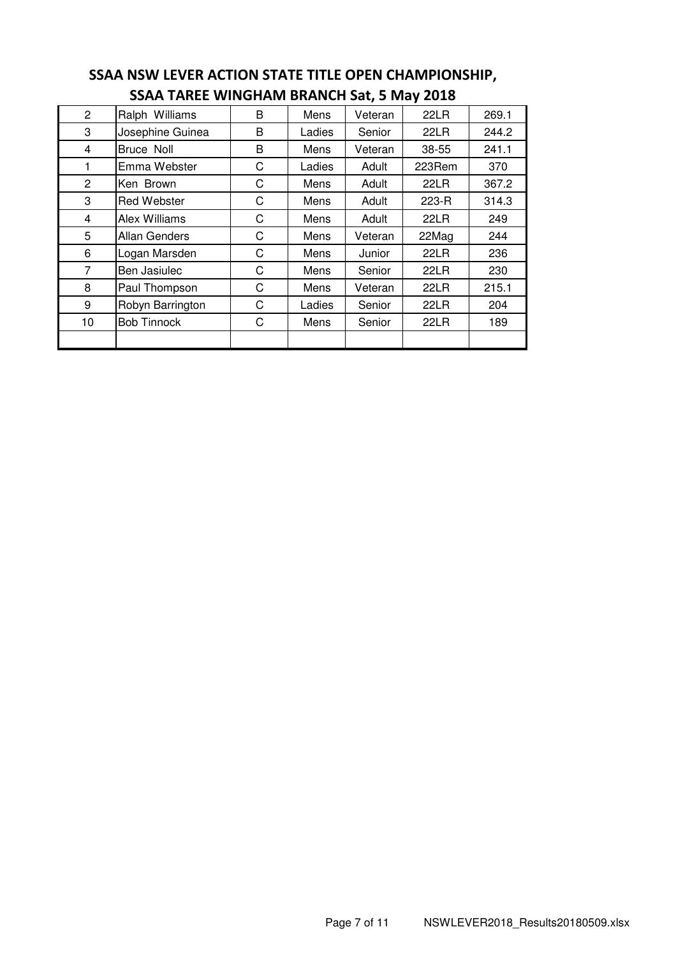| $\overline{2}$ | Ralph Williams       | B | Mens   | Veteran | 22LR   | 269.1 |
|----------------|----------------------|---|--------|---------|--------|-------|
| 3              | Josephine Guinea     | B | Ladies | Senior  | 22LR   | 244.2 |
| 4              | Bruce Noll           | B | Mens   | Veteran | 38-55  | 241.1 |
| 1              | Emma Webster         | C | Ladies | Adult   | 223Rem | 370   |
| $\overline{2}$ | Ken Brown            | С | Mens   | Adult   | 22LR   | 367.2 |
| 3              | <b>Red Webster</b>   | C | Mens   | Adult   | 223-R  | 314.3 |
| 4              | Alex Williams        | C | Mens   | Adult   | 22LR   | 249   |
| 5              | <b>Allan Genders</b> | C | Mens   | Veteran | 22Mag  | 244   |
| 6              | Logan Marsden        | С | Mens   | Junior  | 22LR   | 236   |
| 7              | Ben Jasiulec         | С | Mens   | Senior  | 22LR   | 230   |
| 8              | Paul Thompson        | С | Mens   | Veteran | 22LR   | 215.1 |
| 9              | Robyn Barrington     | С | Ladies | Senior  | 22LR   | 204   |
| 10             | <b>Bob Tinnock</b>   | C | Mens   | Senior  | 22LR   | 189   |
|                |                      |   |        |         |        |       |

#### SSAA NSW LEVER ACTION STATE TITLE OPEN CHAMPIONSHIP, SSAA TAREE WINGHAM BRANCH Sat, 5 May 2018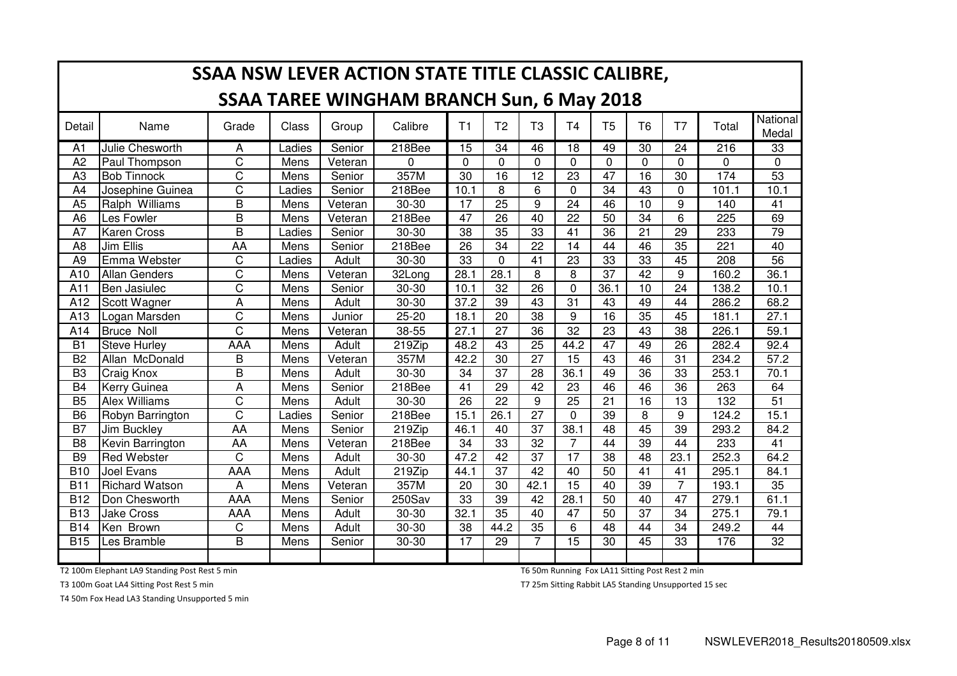|                | SSAA NSW LEVER ACTION STATE TITLE CLASSIC CALIBRE, |                       |              |         |           |                 |                 |                 |                 |                 |                 |                 |                  |                   |
|----------------|----------------------------------------------------|-----------------------|--------------|---------|-----------|-----------------|-----------------|-----------------|-----------------|-----------------|-----------------|-----------------|------------------|-------------------|
|                | <b>SSAA TAREE WINGHAM BRANCH Sun, 6 May 2018</b>   |                       |              |         |           |                 |                 |                 |                 |                 |                 |                 |                  |                   |
| Detail         | Name                                               | Grade                 | <b>Class</b> | Group   | Calibre   | T1              | T <sub>2</sub>  | T <sub>3</sub>  | T <sub>4</sub>  | T <sub>5</sub>  | T <sub>6</sub>  | T <sub>7</sub>  | Total            | National<br>Medal |
| A1             | Julie Chesworth                                    | A                     | Ladies       | Senior  | 218Bee    | $\overline{15}$ | $\overline{34}$ | 46              | $\overline{18}$ | 49              | $\overline{30}$ | $\overline{24}$ | $\overline{216}$ | $\overline{33}$   |
| A <sub>2</sub> | Paul Thompson                                      | C                     | Mens         | Veteran | $\Omega$  | 0               | $\Omega$        | $\mathbf 0$     | $\mathbf 0$     | $\Omega$        | 0               | $\Omega$        | $\mathbf{0}$     | $\mathbf 0$       |
| A <sub>3</sub> | <b>Bob Tinnock</b>                                 | $\overline{\text{C}}$ | Mens         | Senior  | 357M      | $\overline{30}$ | $\overline{16}$ | $\overline{12}$ | $\overline{23}$ | $\overline{47}$ | $\overline{16}$ | 30              | 174              | 53                |
| A4             | Josephine Guinea                                   | $\overline{\text{C}}$ | Ladies       | Senior  | 218Bee    | 10.1            | 8               | 6               | $\mathbf 0$     | 34              | 43              | $\Omega$        | 101.1            | 10.1              |
| A <sub>5</sub> | Ralph Williams                                     | $\overline{B}$        | Mens         | Veteran | 30-30     | 17              | $\overline{25}$ | 9               | $\overline{24}$ | 46              | 10              | 9               | 140              | 41                |
| A <sub>6</sub> | Les Fowler                                         | $\overline{B}$        | Mens         | Veteran | 218Bee    | $\overline{47}$ | $\overline{26}$ | $\overline{40}$ | $\overline{22}$ | $\overline{50}$ | $\overline{34}$ | 6               | 225              | 69                |
| A7             | <b>Karen Cross</b>                                 | B                     | Ladies       | Senior  | $30 - 30$ | 38              | $\overline{35}$ | 33              | 41              | $\overline{36}$ | 21              | $\overline{29}$ | 233              | 79                |
| A <sub>8</sub> | Jim Ellis                                          | AA                    | Mens         | Senior  | 218Bee    | 26              | $\overline{34}$ | $\overline{22}$ | $\overline{14}$ | 44              | 46              | $\overline{35}$ | 221              | 40                |
| A <sub>9</sub> | Emma Webster                                       | C                     | Ladies       | Adult   | 30-30     | 33              | 0               | 41              | 23              | 33              | 33              | 45              | 208              | $\overline{56}$   |
| A10            | <b>Allan Genders</b>                               | C                     | Mens         | Veteran | 32Long    | 28.1            | 28.1            | 8               | 8               | $\overline{37}$ | $\overline{42}$ | 9               | 160.2            | 36.1              |
| A11            | Ben Jasiulec                                       | C                     | Mens         | Senior  | 30-30     | 10.1            | 32              | $\overline{26}$ | $\mathbf 0$     | 36.1            | 10              | 24              | 138.2            | 10.1              |
| A12            | Scott Wagner                                       | A                     | Mens         | Adult   | 30-30     | 37.2            | $\overline{39}$ | $\overline{43}$ | $\overline{31}$ | 43              | 49              | 44              | 286.2            | 68.2              |
| A13            | Logan Marsden                                      | C                     | Mens         | Junior  | $25 - 20$ | 18.1            | $\overline{20}$ | $\overline{38}$ | 9               | 16              | $\overline{35}$ | 45              | 181.1            | 27.1              |
| A14            | <b>Bruce Noll</b>                                  | C                     | Mens         | Veteran | 38-55     | 27.1            | $\overline{27}$ | 36              | $\overline{32}$ | 23              | 43              | 38              | 226.1            | 59.1              |
| B1             | <b>Steve Hurley</b>                                | AAA                   | Mens         | Adult   | 219Zip    | 48.2            | 43              | $\overline{25}$ | 44.2            | 47              | 49              | $\overline{26}$ | 282.4            | 92.4              |
| B <sub>2</sub> | Allan McDonald                                     | B                     | Mens         | Veteran | 357M      | 42.2            | $\overline{30}$ | $\overline{27}$ | 15              | 43              | 46              | $\overline{31}$ | 234.2            | 57.2              |
| B <sub>3</sub> | Craig Knox                                         | B                     | Mens         | Adult   | 30-30     | 34              | $\overline{37}$ | 28              | 36.1            | 49              | 36              | 33              | 253.1            | 70.1              |
| B <sub>4</sub> | <b>Kerry Guinea</b>                                | A                     | Mens         | Senior  | 218Bee    | 41              | 29              | 42              | 23              | 46              | 46              | 36              | 263              | 64                |
| B <sub>5</sub> | <b>Alex Williams</b>                               | C                     | Mens         | Adult   | 30-30     | 26              | 22              | 9               | 25              | 21              | 16              | 13              | 132              | $\overline{51}$   |
| B <sub>6</sub> | Robyn Barrington                                   | C                     | Ladies       | Senior  | 218Bee    | 15.1            | 26.1            | 27              | $\Omega$        | 39              | 8               | 9               | 124.2            | 15.1              |
| B7             | Jim Buckley                                        | AA                    | Mens         | Senior  | 219Zip    | 46.1            | 40              | 37              | 38.1            | 48              | 45              | 39              | 293.2            | 84.2              |
| B <sub>8</sub> | Kevin Barrington                                   | AA                    | Mens         | Veteran | 218Bee    | 34              | 33              | 32              | $\overline{7}$  | 44              | 39              | 44              | 233              | 41                |
| B <sub>9</sub> | <b>Red Webster</b>                                 | C                     | Mens         | Adult   | 30-30     | 47.2            | 42              | 37              | 17              | 38              | 48              | 23.1            | 252.3            | 64.2              |
| <b>B10</b>     | Joel Evans                                         | AAA                   | Mens         | Adult   | 219Zip    | 44.1            | 37              | 42              | 40              | 50              | 41              | 41              | 295.1            | 84.1              |
| <b>B11</b>     | <b>Richard Watson</b>                              | Α                     | Mens         | Veteran | 357M      | 20              | 30              | 42.1            | 15              | 40              | 39              | $\overline{7}$  | 193.1            | 35                |
| <b>B12</b>     | Don Chesworth                                      | AAA                   | Mens         | Senior  | 250Sav    | 33              | 39              | 42              | 28.1            | 50              | 40              | 47              | 279.1            | 61.1              |
| <b>B13</b>     | <b>Jake Cross</b>                                  | AAA                   | Mens         | Adult   | 30-30     | 32.1            | 35              | 40              | 47              | 50              | 37              | 34              | 275.1            | 79.1              |
| <b>B14</b>     | Ken Brown                                          | C                     | Mens         | Adult   | 30-30     | 38              | 44.2            | 35              | 6               | 48              | 44              | 34              | 249.2            | 44                |
| <b>B15</b>     | Les Bramble                                        | B                     | Mens         | Senior  | 30-30     | 17              | 29              | $\overline{7}$  | $\overline{15}$ | 30              | 45              | 33              | 176              | 32                |
|                |                                                    |                       |              |         |           |                 |                 |                 |                 |                 |                 |                 |                  |                   |

T2 100m Elephant LA9 Standing Post Rest 5 min

T3 100m Goat LA4 Sitting Post Rest 5 min

T4 50m Fox Head LA3 Standing Unsupported 5 min

T6 50m Running Fox LA11 Sitting Post Rest 2 min

T7 25m Sitting Rabbit LA5 Standing Unsupported 15 sec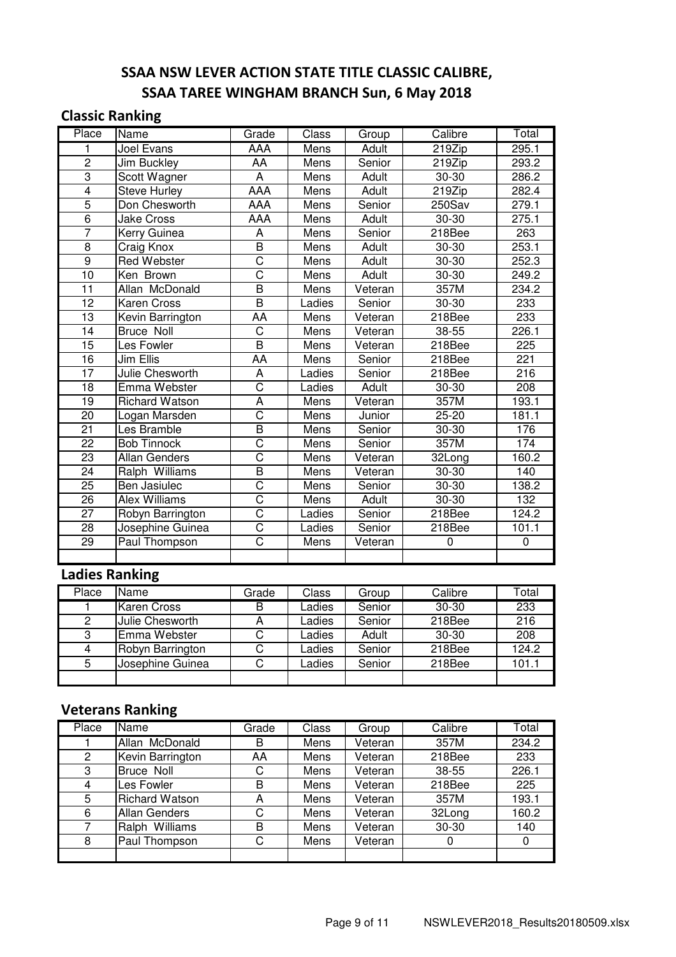## SSAA NSW LEVER ACTION STATE TITLE CLASSIC CALIBRE, SSAA TAREE WINGHAM BRANCH Sun, 6 May 2018

#### Classic Ranking

| Place           | Name                  | Grade                   | Class       | Group        | Calibre   | Total |
|-----------------|-----------------------|-------------------------|-------------|--------------|-----------|-------|
| 1               | Joel Evans            | <b>AAA</b>              | Mens        | <b>Adult</b> | 219Zip    | 295.1 |
| $\overline{2}$  | Jim Buckley           | AA                      | Mens        | Senior       | $219$ Zip | 293.2 |
| $\overline{3}$  | Scott Wagner          | $\overline{A}$          | Mens        | Adult        | $30 - 30$ | 286.2 |
| $\overline{4}$  | <b>Steve Hurley</b>   | <b>AAA</b>              | Mens        | Adult        | 219Zip    | 282.4 |
| $\overline{5}$  | Don Chesworth         | AAA                     | Mens        | Senior       | 250Sav    | 279.1 |
| $\overline{6}$  | <b>Jake Cross</b>     | AAA                     | Mens        | Adult        | 30-30     | 275.1 |
| $\overline{7}$  | Kerry Guinea          | A                       | Mens        | Senior       | 218Bee    | 263   |
| $\overline{8}$  | Craig Knox            | $\overline{\mathsf{B}}$ | Mens        | Adult        | 30-30     | 253.1 |
| $\overline{9}$  | <b>Red Webster</b>    | $\overline{\text{C}}$   | Mens        | Adult        | 30-30     | 252.3 |
| 10              | Ken Brown             | $\overline{\text{c}}$   | Mens        | Adult        | 30-30     | 249.2 |
| $\overline{11}$ | Allan McDonald        | $\overline{\mathsf{B}}$ | Mens        | Veteran      | 357M      | 234.2 |
| 12              | Karen Cross           | $\overline{\mathsf{B}}$ | Ladies      | Senior       | 30-30     | 233   |
| $\overline{13}$ | Kevin Barrington      | AA                      | Mens        | Veteran      | 218Bee    | 233   |
| 14              | <b>Bruce Noll</b>     | $\overline{C}$          | Mens        | Veteran      | 38-55     | 226.1 |
| 15              | Les Fowler            | $\overline{B}$          | Mens        | Veteran      | 218Bee    | 225   |
| 16              | Jim Ellis             | <b>AA</b>               | Mens        | Senior       | 218Bee    | 221   |
| 17              | Julie Chesworth       | A                       | Ladies      | Senior       | 218Bee    | 216   |
| 18              | Emma Webster          | $\overline{\text{c}}$   | Ladies      | Adult        | 30-30     | 208   |
| 19              | <b>Richard Watson</b> | $\overline{A}$          | Mens        | Veteran      | 357M      | 193.1 |
| 20              | Logan Marsden         | $\overline{\text{C}}$   | Mens        | Junior       | 25-20     | 181.1 |
| $\overline{21}$ | Les Bramble           | $\overline{\mathsf{B}}$ | Mens        | Senior       | 30-30     | 176   |
| 22              | <b>Bob Tinnock</b>    | $\overline{\text{C}}$   | Mens        | Senior       | 357M      | 174   |
| 23              | <b>Allan Genders</b>  | $\overline{\text{C}}$   | Mens        | Veteran      | 32Long    | 160.2 |
| $\overline{24}$ | Ralph Williams        | $\overline{\mathsf{B}}$ | Mens        | Veteran      | $30 - 30$ | 140   |
| $\overline{25}$ | Ben Jasiulec          | $\overline{\text{c}}$   | Mens        | Senior       | 30-30     | 138.2 |
| 26              | <b>Alex Williams</b>  | $\overline{\text{c}}$   | <b>Mens</b> | <b>Adult</b> | $30 - 30$ | 132   |
| 27              | Robyn Barrington      | $\overline{\text{C}}$   | Ladies      | Senior       | 218Bee    | 124.2 |
| $\overline{28}$ | Josephine Guinea      | $\overline{\text{c}}$   | Ladies      | Senior       | 218Bee    | 101.1 |
| 29              | Paul Thompson         | $\overline{\text{C}}$   | Mens        | Veteran      | 0         | 0     |
|                 |                       |                         |             |              |           |       |

### Ladies Ranking

| Place | Name             | Grade | Class  | Group  | Calibre | Total |
|-------|------------------|-------|--------|--------|---------|-------|
|       | Karen Cross      | в     | _adies | Senior | $30-30$ | 233   |
| 2     | Julie Chesworth  | A     | _adies | Senior | 218Bee  | 216   |
| 3     | Emma Webster     | C     | _adies | Adult  | $30-30$ | 208   |
| 4     | Robyn Barrington | С     | _adies | Senior | 218Bee  | 124.2 |
| 5     | Josephine Guinea | С     | _adies | Senior | 218Bee  | 101.1 |
|       |                  |       |        |        |         |       |

## Veterans Ranking

| Place          | Name                  | Grade | Class | Group   | Calibre | Total |
|----------------|-----------------------|-------|-------|---------|---------|-------|
|                | Allan McDonald        | B     | Mens  | Veteran | 357M    | 234.2 |
| $\overline{2}$ | Kevin Barrington      | AA    | Mens  | Veteran | 218Bee  | 233   |
| 3              | <b>Bruce Noll</b>     | C     | Mens  | Veteran | 38-55   | 226.1 |
| 4              | Les Fowler            | В     | Mens  | Veteran | 218Bee  | 225   |
| 5              | <b>Richard Watson</b> | A     | Mens  | Veteran | 357M    | 193.1 |
| 6              | <b>Allan Genders</b>  | C     | Mens  | Veteran | 32Long  | 160.2 |
| 7              | Ralph Williams        | B     | Mens  | Veteran | 30-30   | 140   |
| 8              | Paul Thompson         | С     | Mens  | Veteran | 0       | 0     |
|                |                       |       |       |         |         |       |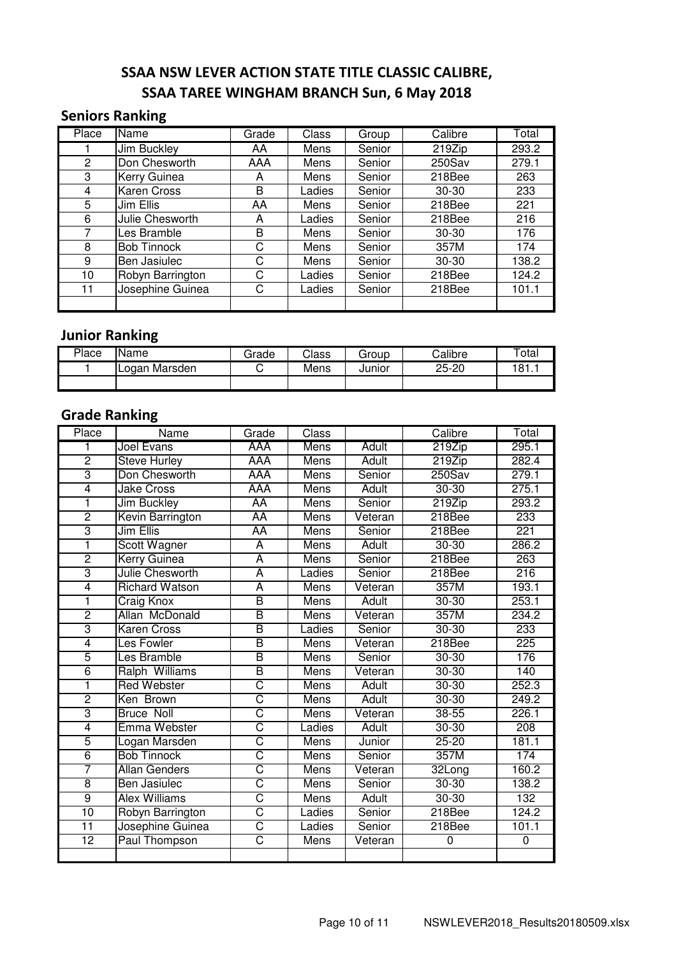## SSAA NSW LEVER ACTION STATE TITLE CLASSIC CALIBRE, SSAA TAREE WINGHAM BRANCH Sun, 6 May 2018

#### Seniors Ranking

| Place | <b>Name</b>        | Grade | Class  | Group  | Calibre   | Total |
|-------|--------------------|-------|--------|--------|-----------|-------|
|       | <b>Jim Buckley</b> | AA    | Mens   | Senior | $219$ Zip | 293.2 |
| 2     | Don Chesworth      | AAA   | Mens   | Senior | 250Sav    | 279.1 |
| 3     | Kerry Guinea       | A     | Mens   | Senior | 218Bee    | 263   |
| 4     | <b>Karen Cross</b> | B     | Ladies | Senior | $30 - 30$ | 233   |
| 5     | Jim Ellis          | AA    | Mens   | Senior | 218Bee    | 221   |
| 6     | Julie Chesworth    | A     | Ladies | Senior | 218Bee    | 216   |
| 7     | Les Bramble        | B     | Mens   | Senior | $30 - 30$ | 176   |
| 8     | <b>Bob Tinnock</b> | С     | Mens   | Senior | 357M      | 174   |
| 9     | Ben Jasiulec       | С     | Mens   | Senior | $30 - 30$ | 138.2 |
| 10    | Robyn Barrington   | C     | Ladies | Senior | 218Bee    | 124.2 |
| 11    | Josephine Guinea   | С     | Ladies | Senior | 218Bee    | 101.1 |
|       |                    |       |        |        |           |       |

## Junior Ranking

| Place | <b>Name</b>   | Grade | Class | Group  | Calibre   | $\tau$ otal |
|-------|---------------|-------|-------|--------|-----------|-------------|
|       | Logan Marsden | ◡     | Mens  | Junior | $25 - 20$ | '81<br>.    |
|       |               |       |       |        |           |             |

### Grade Ranking

| Place           | Name                  | Grade                   | Class       |              | Calibre     | Total |
|-----------------|-----------------------|-------------------------|-------------|--------------|-------------|-------|
| 1               | Joel Evans            | AAA                     | <b>Mens</b> | Adult        | 219Zip      | 295.1 |
| $\overline{2}$  | Steve Hurley          | <b>AAA</b>              | <b>Mens</b> | <b>Adult</b> | 219Zip      | 282.4 |
| 3               | Don Chesworth         | <b>AAA</b>              | <b>Mens</b> | Senior       | $250$ Sav   | 279.1 |
| 4               | Jake Cross            | <b>AAA</b>              | <b>Mens</b> | <b>Adult</b> | $30 - 30$   | 275.1 |
| 1               | <b>Jim Buckley</b>    | <b>AA</b>               | <b>Mens</b> | Senior       | 219Zip      | 293.2 |
| $\overline{2}$  | Kevin Barrington      | AA                      | <b>Mens</b> | Veteran      | 218Bee      | 233   |
| 3               | Jim Ellis             | <b>AA</b>               | <b>Mens</b> | Senior       | 218Bee      | 221   |
| ī               | <b>Scott Wagner</b>   | $\overline{\mathsf{A}}$ | <b>Mens</b> | <b>Adult</b> | $30 - 30$   | 286.2 |
| $\overline{2}$  | <b>Kerry Guinea</b>   | A                       | <b>Mens</b> | Senior       | 218Bee      | 263   |
| 3               | Julie Chesworth       | $\overline{\mathsf{A}}$ | Ladies      | Senior       | 218Bee      | 216   |
| $\overline{4}$  | <b>Richard Watson</b> | $\overline{\mathsf{A}}$ | <b>Mens</b> | Veteran      | 357M        | 193.1 |
| 1               | <b>Craig Knox</b>     | B                       | <b>Mens</b> | <b>Adult</b> | $30 - 30$   | 253.1 |
| $\overline{2}$  | Allan McDonald        | B                       | <b>Mens</b> | Veteran      | 357M        | 234.2 |
| 3               | <b>Karen Cross</b>    | B                       | Ladies      | Senior       | $30 - 30$   | 233   |
| 4               | Les Fowler            | $\overline{\mathsf{B}}$ | <b>Mens</b> | Veteran      | 218Bee      | 225   |
| 5               | Les Bramble           | B                       | <b>Mens</b> | Senior       | $30 - 30$   | 176   |
| 6               | Ralph Williams        | B                       | <b>Mens</b> | Veteran      | $30 - 30$   | 140   |
| 1               | <b>Red Webster</b>    | Շ                       | <b>Mens</b> | <b>Adult</b> | $30 - 30$   | 252.3 |
| $\overline{2}$  | Ken Brown             | C                       | <b>Mens</b> | <b>Adult</b> | $30 - 30$   | 249.2 |
| 3               | <b>Bruce Noll</b>     | $\overline{\text{c}}$   | <b>Mens</b> | Veteran      | $38 - 55$   | 226.1 |
| $\overline{4}$  | Emma Webster          | $\overline{\text{c}}$   | Ladies      | <b>Adult</b> | $30 - 30$   | 208   |
| 5               | Logan Marsden         | $\overline{\text{c}}$   | <b>Mens</b> | Junior       | $25 - 20$   | 181.1 |
| $\overline{6}$  | <b>Bob Tinnock</b>    | $\overline{\text{C}}$   | <b>Mens</b> | Senior       | 357M        | 174   |
| 7               | <b>Allan Genders</b>  | $\overline{\text{C}}$   | <b>Mens</b> | Veteran      | 32Long      | 160.2 |
| $\overline{8}$  | <b>Ben Jasiulec</b>   | $\overline{\text{C}}$   | <b>Mens</b> | Senior       | $30 - 30$   | 138.2 |
| $\overline{9}$  | <b>Alex Williams</b>  | C                       | <b>Mens</b> | <b>Adult</b> | $30 - 30$   | 132   |
| 10              | Robyn Barrington      | $\overline{\text{C}}$   | Ladies      | Senior       | 218Bee      | 124.2 |
| $\overline{11}$ | Josephine Guinea      | $\overline{\text{C}}$   | Ladies      | Senior       | 218Bee      | 101.1 |
| $\overline{12}$ | Paul Thompson         | $\overline{C}$          | Mens        | Veteran      | $\mathbf 0$ | 0     |
|                 |                       |                         |             |              |             |       |